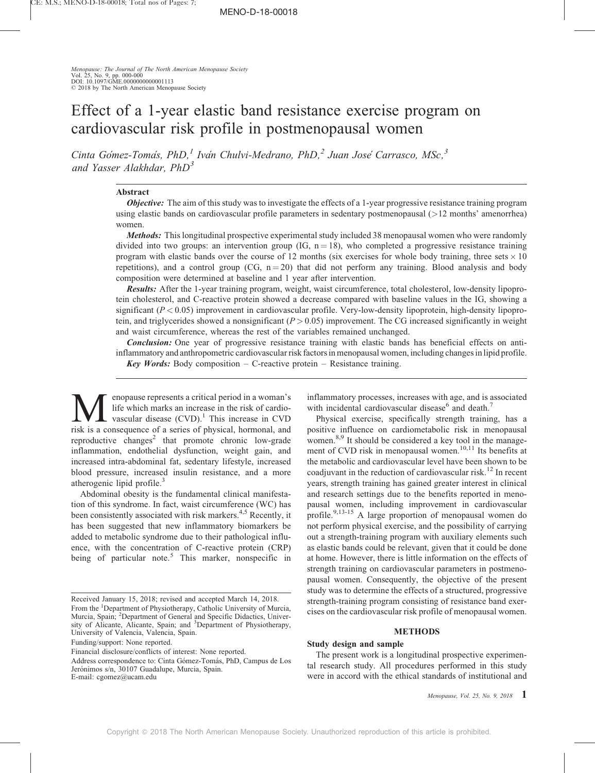Menopause: The Journal of The North American Menopause Society Vol. 25, No. 9, pp. 000-000 DOI: 10.1097/GME.0000000000001113  $\odot$  2018 by The North American Menopause Society

# Effect of a 1-year elastic band resistance exercise program on cardiovascular risk profile in postmenopausal women

Cinta Go'mez-Toma's, PhD,<sup>1</sup> Iva'n Chulvi-Medrano, PhD,<sup>2</sup> Juan Jose' Carrasco, MSc,<sup>3</sup> and Yasser Alakhdar,  $PhD<sup>3</sup>$ 

### Abstract

**Objective:** The aim of this study was to investigate the effects of a 1-year progressive resistance training program using elastic bands on cardiovascular profile parameters in sedentary postmenopausal (>12 months' amenorrhea) women.

Methods: This longitudinal prospective experimental study included 38 menopausal women who were randomly divided into two groups: an intervention group (IG,  $n = 18$ ), who completed a progressive resistance training program with elastic bands over the course of 12 months (six exercises for whole body training, three sets  $\times$  10 repetitions), and a control group (CG,  $n = 20$ ) that did not perform any training. Blood analysis and body composition were determined at baseline and 1 year after intervention.

Results: After the 1-year training program, weight, waist circumference, total cholesterol, low-density lipoprotein cholesterol, and C-reactive protein showed a decrease compared with baseline values in the IG, showing a significant  $(P < 0.05)$  improvement in cardiovascular profile. Very-low-density lipoprotein, high-density lipoprotein, and triglycerides showed a nonsignificant  $(P > 0.05)$  improvement. The CG increased significantly in weight and waist circumference, whereas the rest of the variables remained unchanged.

**Conclusion:** One year of progressive resistance training with elastic bands has beneficial effects on antiinflammatory and anthropometric cardiovascular risk factors in menopausal women, including changes in lipid profile. **Key Words:** Body composition  $-$  C-reactive protein  $-$  Resistance training.

Menopause represents a critical period in a woman's<br>life which marks an increase in the risk of cardio-<br>vascular disease (CVD).<sup>1</sup> This increase in CVD<br>risk is a consequence of a series of physical hormonal and life which marks an increase in the risk of cardiovascular disease  $(CVD)$ .<sup>1</sup> This increase in CVD risk is a consequence of a series of physical, hormonal, and reproductive changes<sup>[2](#page-5-0)</sup> that promote chronic low-grade inflammation, endothelial dysfunction, weight gain, and increased intra-abdominal fat, sedentary lifestyle, increased blood pressure, increased insulin resistance, and a more atherogenic lipid profile.<sup>3</sup>

Abdominal obesity is the fundamental clinical manifestation of this syndrome. In fact, waist circumference (WC) has been consistently associated with risk markers.<sup>[4,5](#page-5-0)</sup> Recently, it has been suggested that new inflammatory biomarkers be added to metabolic syndrome due to their pathological influence, with the concentration of C-reactive protein (CRP) being of particular note.<sup>5</sup> This marker, nonspecific in

inflammatory processes, increases with age, and is associated with incidental cardiovascular disease $<sup>6</sup>$  $<sup>6</sup>$  $<sup>6</sup>$  and death.<sup>[7](#page-5-0)</sup></sup>

Physical exercise, specifically strength training, has a positive influence on cardiometabolic risk in menopausal women.<sup>[8,9](#page-5-0)</sup> It should be considered a key tool in the manage-ment of CVD risk in menopausal women.<sup>[10,11](#page-5-0)</sup> Its benefits at the metabolic and cardiovascular level have been shown to be coadjuvant in the reduction of cardiovascular risk.<sup>[12](#page-5-0)</sup> In recent years, strength training has gained greater interest in clinical and research settings due to the benefits reported in menopausal women, including improvement in cardiovascular profile.<sup>[9,13-15](#page-5-0)</sup> A large proportion of menopausal women do not perform physical exercise, and the possibility of carrying out a strength-training program with auxiliary elements such as elastic bands could be relevant, given that it could be done at home. However, there is little information on the effects of strength training on cardiovascular parameters in postmenopausal women. Consequently, the objective of the present study was to determine the effects of a structured, progressive strength-training program consisting of resistance band exercises on the cardiovascular risk profile of menopausal women.

## **METHODS**

## Study design and sample

The present work is a longitudinal prospective experimental research study. All procedures performed in this study were in accord with the ethical standards of institutional and

Menopause, Vol. 25, No. 9, 2018  $1$ 

Received January 15, 2018; revised and accepted March 14, 2018. From the <sup>1</sup>Department of Physiotherapy, Catholic University of Murcia, Murcia, Spain; <sup>2</sup>Department of General and Specific Didactics, University of Alicante, Alicante, Spain; and <sup>3</sup>Department of Physiotherapy, University of Valencia, Valencia, Spain.

Funding/support: None reported.

Financial disclosure/conflicts of interest: None reported.

Address correspondence to: Cinta Gómez-Tomás, PhD, Campus de Los Jerónimos s/n, 30107 Guadalupe, Murcia, Spain. E-mail: [cgomez@ucam.edu](mailto:cgomez@ucam.edu)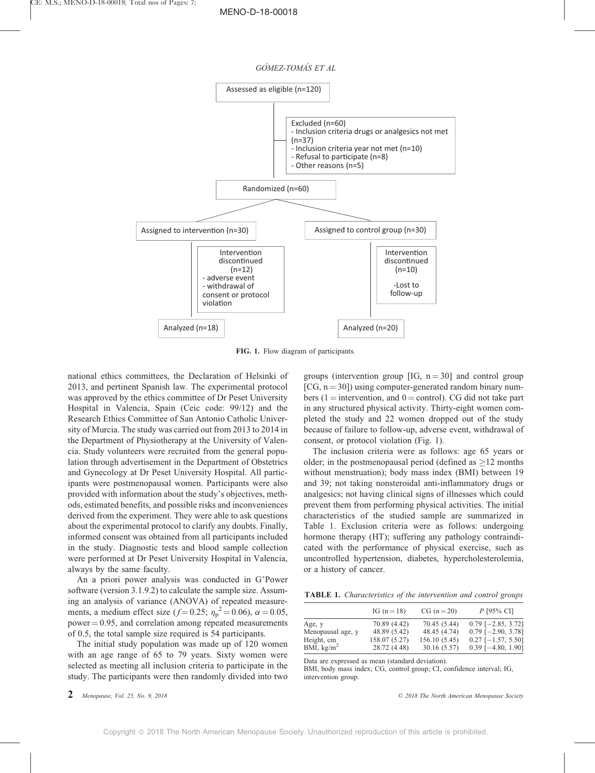



FIG. 1. Flow diagram of participants.

national ethics committees, the Declaration of Helsinki of 2013, and pertinent Spanish law. The experimental protocol was approved by the ethics committee of Dr Peset University Hospital in Valencia, Spain (Ceic code: 99/12) and the Research Ethics Committee of San Antonio Catholic University of Murcia. The study was carried out from 2013 to 2014 in the Department of Physiotherapy at the University of Valencia. Study volunteers were recruited from the general population through advertisement in the Department of Obstetrics and Gynecology at Dr Peset University Hospital. All participants were postmenopausal women. Participants were also provided with information about the study's objectives, methods, estimated benefits, and possible risks and inconveniences derived from the experiment. They were able to ask questions about the experimental protocol to clarify any doubts. Finally, informed consent was obtained from all participants included in the study. Diagnostic tests and blood sample collection were performed at Dr Peset University Hospital in Valencia, always by the same faculty.

An a priori power analysis was conducted in G Power software (version 3.1.9.2) to calculate the sample size. Assuming an analysis of variance (ANOVA) of repeated measurements, a medium effect size ( $f = 0.25$ ;  $\eta_p^2 = 0.06$ ),  $\alpha = 0.05$ , power  $= 0.95$ , and correlation among repeated measurements of 0.5, the total sample size required is 54 participants.

The initial study population was made up of 120 women with an age range of 65 to 79 years. Sixty women were selected as meeting all inclusion criteria to participate in the study. The participants were then randomly divided into two groups (intervention group [IG,  $n = 30$ ] and control group [CG,  $n = 30$ ]) using computer-generated random binary numbers (1 = intervention, and  $0 =$  control). CG did not take part in any structured physical activity. Thirty-eight women completed the study and 22 women dropped out of the study because of failure to follow-up, adverse event, withdrawal of consent, or protocol violation (Fig. 1).

The inclusion criteria were as follows: age 65 years or older; in the postmenopausal period (defined as  $\geq$ 12 months without menstruation); body mass index (BMI) between 19 and 39; not taking nonsteroidal anti-inflammatory drugs or analgesics; not having clinical signs of illnesses which could prevent them from performing physical activities. The initial characteristics of the studied sample are summarized in Table 1. Exclusion criteria were as follows: undergoing hormone therapy (HT); suffering any pathology contraindicated with the performance of physical exercise, such as uncontrolled hypertension, diabetes, hypercholesterolemia, or a history of cancer.

TABLE 1. Characteristics of the intervention and control groups

|                   | IG $(n = 18)$ | $CG (n = 20)$ | $P$ [95% CI]         |
|-------------------|---------------|---------------|----------------------|
| Age, y            | 70.89 (4.42)  | 70.45 (5.44)  | $0.79$ [-2.85, 3.72] |
| Menopausal age, y | 48.89 (5.42)  | 48.45 (4.74)  | $0.79$ [-2.90, 3.78] |
| Height, cm        | 158.07 (5.27) | 156.10 (5.45) | $0.27$ [-1.57, 5.50] |
| BMI, $kg/m2$      | 28.72 (4.48)  | 30.16 (5.57)  | $0.39$ [-4.80, 1.90] |

Data are expressed as mean (standard deviation).

BMI, body mass index; CG, control group; CI, confidence interval; IG, intervention group.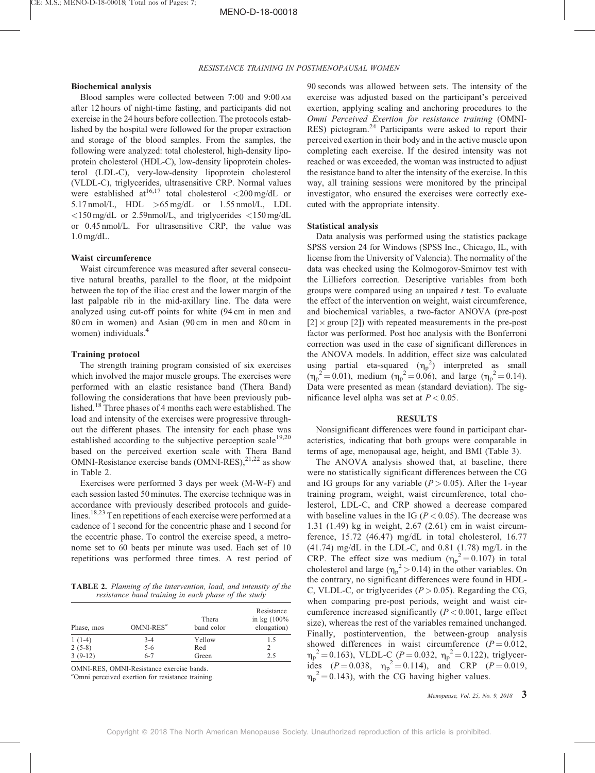#### Biochemical analysis

Blood samples were collected between 7:00 and 9:00 AM after 12 hours of night-time fasting, and participants did not exercise in the 24 hours before collection. The protocols established by the hospital were followed for the proper extraction and storage of the blood samples. From the samples, the following were analyzed: total cholesterol, high-density lipoprotein cholesterol (HDL-C), low-density lipoprotein cholesterol (LDL-C), very-low-density lipoprotein cholesterol (VLDL-C), triglycerides, ultrasensitive CRP. Normal values were established at <sup>16,17</sup> total cholesterol  $\langle 200 \text{ mg/dL} \rangle$  or 5.17 nmol/L, HDL >65 mg/dL or 1.55 nmol/L, LDL  $\langle$ 150 mg/dL or 2.59 nmol/L, and triglycerides  $\langle$ 150 mg/dL or 0.45 nmol/L. For ultrasensitive CRP, the value was 1.0 mg/dL.

#### Waist circumference

Waist circumference was measured after several consecutive natural breaths, parallel to the floor, at the midpoint between the top of the iliac crest and the lower margin of the last palpable rib in the mid-axillary line. The data were analyzed using cut-off points for white (94 cm in men and 80 cm in women) and Asian (90 cm in men and 80 cm in women) individuals.<sup>[4](#page-5-0)</sup>

#### Training protocol

The strength training program consisted of six exercises which involved the major muscle groups. The exercises were performed with an elastic resistance band (Thera Band) following the considerations that have been previously published.[18](#page-5-0) Three phases of 4 months each were established. The load and intensity of the exercises were progressive throughout the different phases. The intensity for each phase was established according to the subjective perception scale<sup>[19,20](#page-5-0)</sup> based on the perceived exertion scale with Thera Band OMNI-Resistance exercise bands  $(OMNI-RES)$ ,  $^{21,22}$  $^{21,22}$  $^{21,22}$  as show in Table 2.

Exercises were performed 3 days per week (M-W-F) and each session lasted 50 minutes. The exercise technique was in accordance with previously described protocols and guidelines.[18,23](#page-5-0) Ten repetitions of each exercise were performed at a cadence of 1 second for the concentric phase and 1 second for the eccentric phase. To control the exercise speed, a metronome set to 60 beats per minute was used. Each set of 10 repetitions was performed three times. A rest period of

TABLE 2. Planning of the intervention, load, and intensity of the resistance band training in each phase of the study

| Phase, mos | $OMNI-RESa$ | Thera<br>band color | Resistance<br>in $kg(100%$<br>elongation) |
|------------|-------------|---------------------|-------------------------------------------|
| $1(1-4)$   | $3-4$       | Yellow              | 1.5                                       |
| $2(5-8)$   | $5 - 6$     | Red                 |                                           |
| $3(9-12)$  | $6 - 7$     | Green               | 2.5                                       |

OMNI-RES, OMNI-Resistance exercise bands.

a Omni perceived exertion for resistance training.

90 seconds was allowed between sets. The intensity of the exercise was adjusted based on the participant's perceived exertion, applying scaling and anchoring procedures to the Omni Perceived Exertion for resistance training (OMNI-RES) pictogram.<sup>[24](#page-5-0)</sup> Participants were asked to report their perceived exertion in their body and in the active muscle upon completing each exercise. If the desired intensity was not reached or was exceeded, the woman was instructed to adjust the resistance band to alter the intensity of the exercise. In this way, all training sessions were monitored by the principal investigator, who ensured the exercises were correctly executed with the appropriate intensity.

#### Statistical analysis

Data analysis was performed using the statistics package SPSS version 24 for Windows (SPSS Inc., Chicago, IL, with license from the University of Valencia). The normality of the data was checked using the Kolmogorov-Smirnov test with the Lilliefors correction. Descriptive variables from both groups were compared using an unpaired  $t$  test. To evaluate the effect of the intervention on weight, waist circumference, and biochemical variables, a two-factor ANOVA (pre-post  $[2] \times \text{group } [2]$  with repeated measurements in the pre-post factor was performed. Post hoc analysis with the Bonferroni correction was used in the case of significant differences in the ANOVA models. In addition, effect size was calculated using partial eta-squared  $(\eta_p^2)$  interpreted as small  $(\eta_p^2 = 0.01)$ , medium  $(\eta_p^2 = 0.06)$ , and large  $(\eta_p^2 = 0.14)$ . Data were presented as mean (standard deviation). The significance level alpha was set at  $P < 0.05$ .

#### RESULTS

Nonsignificant differences were found in participant characteristics, indicating that both groups were comparable in terms of age, menopausal age, height, and BMI (Table 3).

The ANOVA analysis showed that, at baseline, there were no statistically significant differences between the CG and IG groups for any variable  $(P > 0.05)$ . After the 1-year training program, weight, waist circumference, total cholesterol, LDL-C, and CRP showed a decrease compared with baseline values in the IG ( $P < 0.05$ ). The decrease was 1.31 (1.49) kg in weight, 2.67 (2.61) cm in waist circumference, 15.72 (46.47) mg/dL in total cholesterol, 16.77  $(41.74)$  mg/dL in the LDL-C, and 0.81  $(1.78)$  mg/L in the CRP. The effect size was medium  $(\eta_p^2 = 0.107)$  in total cholesterol and large ( $\eta_p^2 > 0.14$ ) in the other variables. On the contrary, no significant differences were found in HDL-C, VLDL-C, or triglycerides ( $P > 0.05$ ). Regarding the CG, when comparing pre-post periods, weight and waist circumference increased significantly  $(P < 0.001$ , large effect size), whereas the rest of the variables remained unchanged. Finally, postintervention, the between-group analysis showed differences in waist circumference  $(P = 0.012,$  $\eta_p^2 = 0.163$ ), VLDL-C (P = 0.032,  $\eta_p^2 = 0.122$ ), triglycerides  $(P=0.038, \eta_p^2=0.114)$ , and CRP  $(P=0.019,$  $\eta_p^2 = 0.143$ ), with the CG having higher values.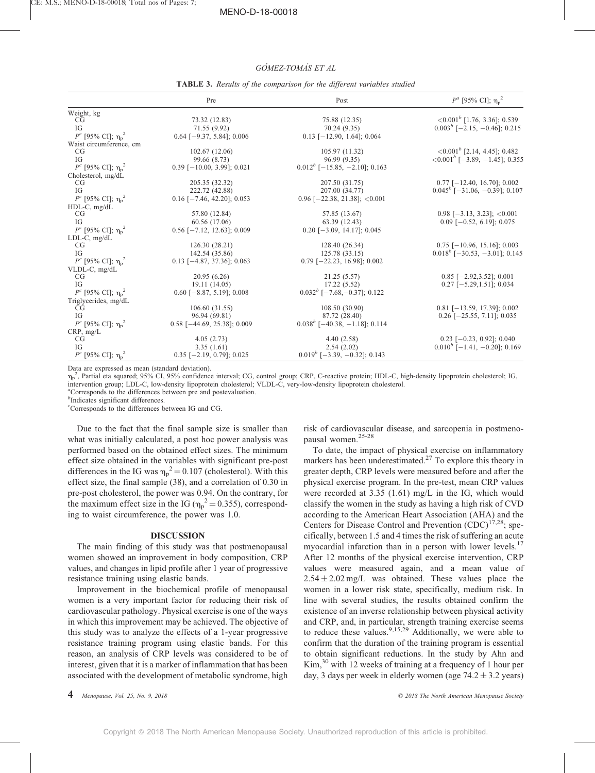# GÓMEZ-TOMÁS ET AL

|                                             | Pre                           | Post                               | $P^a$ [95% CI]; η <sub>p</sub> <sup>2</sup>      |
|---------------------------------------------|-------------------------------|------------------------------------|--------------------------------------------------|
| Weight, kg                                  |                               |                                    |                                                  |
| CG                                          | 73.32 (12.83)                 | 75.88 (12.35)                      | $\langle 0.001^b \; [1.76, 3.36]; 0.539 \rangle$ |
| IG                                          | 71.55 (9.92)                  | 70.24(9.35)                        | $0.003^{b}$ [-2.15, -0.46]; 0.215                |
| $P^c$ [95% CI]; η <sub>p</sub> <sup>2</sup> | $0.64$ [-9.37, 5.84]; 0.006   | $0.13$ [-12.90, 1.64]; 0.064       |                                                  |
| Waist circumference, cm                     |                               |                                    |                                                  |
| CG                                          | 102.67(12.06)                 | 105.97 (11.32)                     | $\langle 0.001^b$ [2.14, 4.45]; 0.482            |
| IG                                          | 99.66 (8.73)                  | 96.99 (9.35)                       | $\leq 0.001^b$ [-3.89, -1.45]; 0.355             |
| $P^c$ [95% CI]; $η_p^2$                     | $0.39$ [-10.00, 3.99]; 0.021  | $0.012^{b}$ [-15.85, -2.10]; 0.163 |                                                  |
| Cholesterol, mg/dL                          |                               |                                    |                                                  |
| CG                                          | 205.35 (32.32)                | 207.50 (31.75)                     | $0.77$ [-12.40, 16.70]; 0.002                    |
| IG                                          | 222.72 (42.88)                | 207.00 (34.77)                     | $0.045^b$ [-31.06, -0.39]; 0.107                 |
| $P^c$ [95% CI]; η <sub>p</sub> <sup>2</sup> | $0.16$ [-7.46, 42.20]; 0.053  | $0.96$ [-22.38, 21.38]; < 0.001    |                                                  |
| $HDL-C$ , mg/dL                             |                               |                                    |                                                  |
| CG                                          | 57.80 (12.84)                 | 57.85 (13.67)                      | $0.98$ [-3.13, 3.23]; <0.001                     |
| IG                                          | 60.56 (17.06)                 | 63.39 (12.43)                      | $0.09$ [-0.52, 6.19]; 0.075                      |
| $P^c$ [95% CI]; η <sub>p</sub> <sup>2</sup> | $0.56$ [-7.12, 12.63]; 0.009  | $0.20$ [-3.09, 14.17]; 0.045       |                                                  |
| $LDL-C$ , $mg/dL$                           |                               |                                    |                                                  |
| CG                                          | 126.30(28.21)                 | 128.40 (26.34)                     | $0.75$ [-10.96, 15.16]; 0.003                    |
| IG                                          | 142.54 (35.86)                | 125.78 (33.15)                     | $0.018^b$ [-30.53, -3.01]; 0.145                 |
| $P^c$ [95% CI]; η <sub>p</sub> <sup>2</sup> | $0.13$ [-4.87, 37.36]; 0.063  | $0.79$ [-22.23, 16.98]; 0.002      |                                                  |
| VLDL-C, mg/dL                               |                               |                                    |                                                  |
| CG                                          | 20.95(6.26)                   | 21.25(5.57)                        | $0.85$ [-2.92,3.52]; 0.001                       |
| IG                                          | 19.11 (14.05)                 | 17.22(5.52)                        | $0.27$ [-5.29,1.51]; 0.034                       |
| $P^c$ [95% CI]; $η_p^2$                     | $0.60$ [-8.87, 5.19]; 0.008   | $0.032^{b}$ [-7.68, -0.37]; 0.122  |                                                  |
| Triglycerides, mg/dL                        |                               |                                    |                                                  |
| CG                                          | 106.60(31.55)                 | 108.50(30.90)                      | $0.81$ [-13.59, 17.39]; 0.002                    |
| IG                                          | 96.94 (69.81)                 | 87.72 (28.40)                      | $0.26$ [-25.55, 7.11]; 0.035                     |
| $P^c$ [95% CI]; η <sub>p</sub> <sup>2</sup> | $0.58$ [-44.69, 25.38]; 0.009 | $0.038b$ [-40.38, -1.18]; 0.114    |                                                  |
| CRP, mg/L                                   |                               |                                    |                                                  |
| CG                                          | 4.05(2.73)                    | 4.40(2.58)                         | $0.23$ [-0.23, 0.92]; 0.040                      |
| IG                                          | 3.35(1.61)                    | 2.54(2.02)                         | $0.010^{b}$ [-1.41, -0.20]; 0.169                |
| $P^c$ [95% CI]; η <sub>p</sub> <sup>2</sup> | $0.35$ [-2.19, 0.79]; 0.025   | $0.019b$ [-3.39, -0.32]; 0.143     |                                                  |

TABLE 3. Results of the comparison for the different variables studied

Data are expressed as mean (standard deviation).

 $\eta_p^2$ , Partial eta squared; 95% CI, 95% confidence interval; CG, control group; CRP, C-reactive protein; HDL-C, high-density lipoprotein cholesterol; IG, intervention group; LDL-C, low-density lipoprotein cholesterol; VLDL-C, very-low-density lipoprotein cholesterol.

a Corresponds to the differences between pre and postevaluation.

b Indicates significant differences.

c Corresponds to the differences between IG and CG.

Due to the fact that the final sample size is smaller than what was initially calculated, a post hoc power analysis was performed based on the obtained effect sizes. The minimum effect size obtained in the variables with significant pre-post differences in the IG was  $\eta_p^2 = 0.107$  (cholesterol). With this effect size, the final sample (38), and a correlation of 0.30 in pre-post cholesterol, the power was 0.94. On the contrary, for the maximum effect size in the IG ( $\eta_p^2 = 0.355$ ), corresponding to waist circumference, the power was 1.0.

#### DISCUSSION

The main finding of this study was that postmenopausal women showed an improvement in body composition, CRP values, and changes in lipid profile after 1 year of progressive resistance training using elastic bands.

Improvement in the biochemical profile of menopausal women is a very important factor for reducing their risk of cardiovascular pathology. Physical exercise is one of the ways in which this improvement may be achieved. The objective of this study was to analyze the effects of a 1-year progressive resistance training program using elastic bands. For this reason, an analysis of CRP levels was considered to be of interest, given that it is a marker of inflammation that has been associated with the development of metabolic syndrome, high

risk of cardiovascular disease, and sarcopenia in postmenopausal women.[25-28](#page-5-0)

To date, the impact of physical exercise on inflammatory markers has been underestimated.[27](#page-5-0) To explore this theory in greater depth, CRP levels were measured before and after the physical exercise program. In the pre-test, mean CRP values were recorded at 3.35 (1.61) mg/L in the IG, which would classify the women in the study as having a high risk of CVD according to the American Heart Association (AHA) and the Centers for Disease Control and Prevention  $(CDC)^{17,28}$ ; specifically, between 1.5 and 4 times the risk of suffering an acute myocardial infarction than in a person with lower levels.<sup>[17](#page-5-0)</sup> After 12 months of the physical exercise intervention, CRP values were measured again, and a mean value of  $2.54 \pm 2.02$  mg/L was obtained. These values place the women in a lower risk state, specifically, medium risk. In line with several studies, the results obtained confirm the existence of an inverse relationship between physical activity and CRP, and, in particular, strength training exercise seems to reduce these values.<sup>[9,15,29](#page-5-0)</sup> Additionally, we were able to confirm that the duration of the training program is essential to obtain significant reductions. In the study by Ahn and Kim,[30](#page-5-0) with 12 weeks of training at a frequency of 1 hour per day, 3 days per week in elderly women (age  $74.2 \pm 3.2$  years)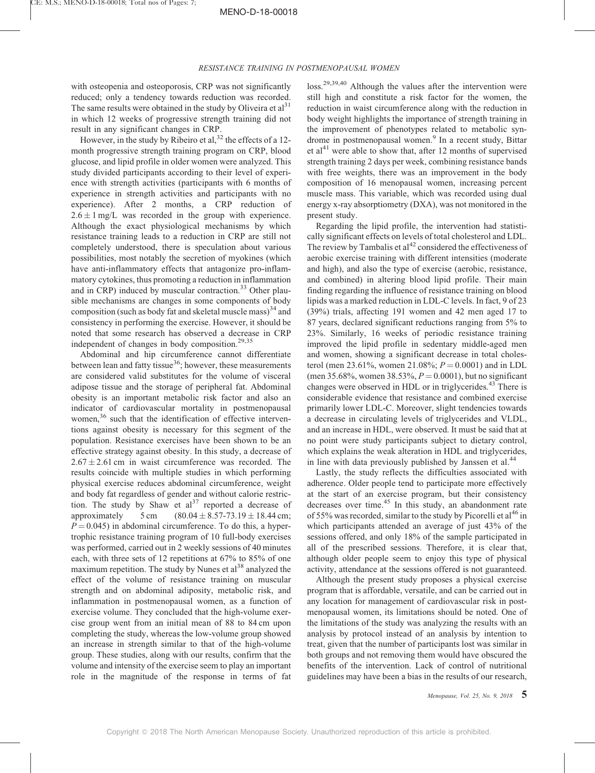## MENO-D-18-00018

## RESISTANCE TRAINING IN POSTMENOPAUSAL WOMEN

with osteopenia and osteoporosis, CRP was not significantly reduced; only a tendency towards reduction was recorded. The same results were obtained in the study by Oliveira et  $al<sup>31</sup>$  $al<sup>31</sup>$  $al<sup>31</sup>$ in which 12 weeks of progressive strength training did not result in any significant changes in CRP.

However, in the study by Ribeiro et al,  $32$  the effects of a 12month progressive strength training program on CRP, blood glucose, and lipid profile in older women were analyzed. This study divided participants according to their level of experience with strength activities (participants with 6 months of experience in strength activities and participants with no experience). After 2 months, a CRP reduction of  $2.6 \pm 1$  mg/L was recorded in the group with experience. Although the exact physiological mechanisms by which resistance training leads to a reduction in CRP are still not completely understood, there is speculation about various possibilities, most notably the secretion of myokines (which have anti-inflammatory effects that antagonize pro-inflammatory cytokines, thus promoting a reduction in inflammation and in CRP) induced by muscular contraction.<sup>[33](#page-5-0)</sup> Other plausible mechanisms are changes in some components of body composition (such as body fat and skeletal muscle mass) $34$  and consistency in performing the exercise. However, it should be noted that some research has observed a decrease in CRP independent of changes in body composition.<sup>[29,35](#page-5-0)</sup>

Abdominal and hip circumference cannot differentiate between lean and fatty tissue<sup>36</sup>; however, these measurements are considered valid substitutes for the volume of visceral adipose tissue and the storage of peripheral fat. Abdominal obesity is an important metabolic risk factor and also an indicator of cardiovascular mortality in postmenopausal women,<sup>[36](#page-5-0)</sup> such that the identification of effective interventions against obesity is necessary for this segment of the population. Resistance exercises have been shown to be an effective strategy against obesity. In this study, a decrease of  $2.67 \pm 2.61$  cm in waist circumference was recorded. The results coincide with multiple studies in which performing physical exercise reduces abdominal circumference, weight and body fat regardless of gender and without calorie restriction. The study by Shaw et  $al<sup>37</sup>$  $al<sup>37</sup>$  $al<sup>37</sup>$  reported a decrease of approximately  $5 \text{ cm}$   $(80.04 \pm 8.57 - 73.19 \pm 18.44 \text{ cm};$  $P = 0.045$ ) in abdominal circumference. To do this, a hypertrophic resistance training program of 10 full-body exercises was performed, carried out in 2 weekly sessions of 40 minutes each, with three sets of 12 repetitions at 67% to 85% of one maximum repetition. The study by Nunes et  $al^{38}$  $al^{38}$  $al^{38}$  analyzed the effect of the volume of resistance training on muscular strength and on abdominal adiposity, metabolic risk, and inflammation in postmenopausal women, as a function of exercise volume. They concluded that the high-volume exercise group went from an initial mean of 88 to 84 cm upon completing the study, whereas the low-volume group showed an increase in strength similar to that of the high-volume group. These studies, along with our results, confirm that the volume and intensity of the exercise seem to play an important role in the magnitude of the response in terms of fat

loss.<sup>[29,39,40](#page-5-0)</sup> Although the values after the intervention were still high and constitute a risk factor for the women, the reduction in waist circumference along with the reduction in body weight highlights the importance of strength training in the improvement of phenotypes related to metabolic syn-drome in postmenopausal women.<sup>[9](#page-5-0)</sup> In a recent study, Bittar et al<sup>[41](#page-6-0)</sup> were able to show that, after 12 months of supervised strength training 2 days per week, combining resistance bands with free weights, there was an improvement in the body composition of 16 menopausal women, increasing percent muscle mass. This variable, which was recorded using dual energy x-ray absorptiometry (DXA), was not monitored in the present study.

Regarding the lipid profile, the intervention had statistically significant effects on levels of total cholesterol and LDL. The review by Tambalis et  $al^{42}$  $al^{42}$  $al^{42}$  considered the effectiveness of aerobic exercise training with different intensities (moderate and high), and also the type of exercise (aerobic, resistance, and combined) in altering blood lipid profile. Their main finding regarding the influence of resistance training on blood lipids was a marked reduction in LDL-C levels. In fact, 9 of 23 (39%) trials, affecting 191 women and 42 men aged 17 to 87 years, declared significant reductions ranging from 5% to 23%. Similarly, 16 weeks of periodic resistance training improved the lipid profile in sedentary middle-aged men and women, showing a significant decrease in total cholesterol (men 23.61%, women 21.08%;  $P = 0.0001$ ) and in LDL (men 35.68%, women 38.53%,  $P = 0.0001$ ), but no significant changes were observed in HDL or in triglycerides.<sup>[43](#page-6-0)</sup> There is considerable evidence that resistance and combined exercise primarily lower LDL-C. Moreover, slight tendencies towards a decrease in circulating levels of triglycerides and VLDL, and an increase in HDL, were observed. It must be said that at no point were study participants subject to dietary control, which explains the weak alteration in HDL and triglycerides, in line with data previously published by Janssen et al.<sup>[44](#page-6-0)</sup>

Lastly, the study reflects the difficulties associated with adherence. Older people tend to participate more effectively at the start of an exercise program, but their consistency decreases over time.<sup>[45](#page-6-0)</sup> In this study, an abandonment rate of 55% was recorded, similar to the study by Picorelli et  $al^{46}$  $al^{46}$  $al^{46}$  in which participants attended an average of just 43% of the sessions offered, and only 18% of the sample participated in all of the prescribed sessions. Therefore, it is clear that, although older people seem to enjoy this type of physical activity, attendance at the sessions offered is not guaranteed.

Although the present study proposes a physical exercise program that is affordable, versatile, and can be carried out in any location for management of cardiovascular risk in postmenopausal women, its limitations should be noted. One of the limitations of the study was analyzing the results with an analysis by protocol instead of an analysis by intention to treat, given that the number of participants lost was similar in both groups and not removing them would have obscured the benefits of the intervention. Lack of control of nutritional guidelines may have been a bias in the results of our research,

Menopause, Vol. 25, No. 9, 2018  $\overline{5}$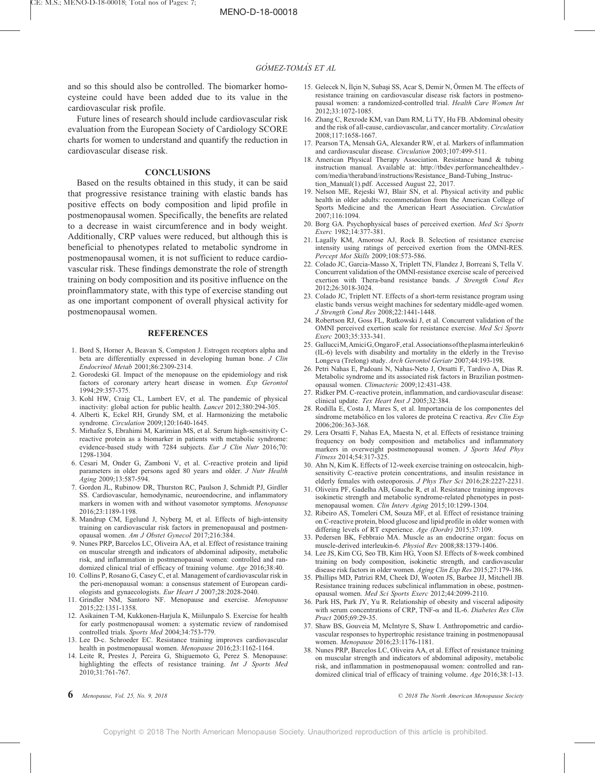<span id="page-5-0"></span>and so this should also be controlled. The biomarker homocysteine could have been added due to its value in the cardiovascular risk profile.

Future lines of research should include cardiovascular risk evaluation from the European Society of Cardiology SCORE charts for women to understand and quantify the reduction in cardiovascular disease risk.

## **CONCLUSIONS**

Based on the results obtained in this study, it can be said that progressive resistance training with elastic bands has positive effects on body composition and lipid profile in postmenopausal women. Specifically, the benefits are related to a decrease in waist circumference and in body weight. Additionally, CRP values were reduced, but although this is beneficial to phenotypes related to metabolic syndrome in postmenopausal women, it is not sufficient to reduce cardiovascular risk. These findings demonstrate the role of strength training on body composition and its positive influence on the proinflammatory state, with this type of exercise standing out as one important component of overall physical activity for postmenopausal women.

#### REFERENCES

- 1. Bord S, Horner A, Beavan S, Compston J. Estrogen receptors alpha and beta are differentially expressed in developing human bone. J Clin Endocrinol Metab 2001;86:2309-2314.
- 2. Gorodeski GI. Impact of the menopause on the epidemiology and risk factors of coronary artery heart disease in women. Exp Gerontol 1994;29:357-375.
- 3. Kohl HW, Craig CL, Lambert EV, et al. The pandemic of physical inactivity: global action for public health. Lancet 2012;380:294-305.
- 4. Alberti K, Eckel RH, Grundy SM, et al. Harmonizing the metabolic syndrome. Circulation 2009;120:1640-1645.
- 5. Mirhafez S, Ebrahimi M, Karimian MS, et al. Serum high-sensitivity Creactive protein as a biomarker in patients with metabolic syndrome: evidence-based study with 7284 subjects. Eur J Clin Nutr 2016;70: 1298-1304.
- 6. Cesari M, Onder G, Zamboni V, et al. C-reactive protein and lipid parameters in older persons aged 80 years and older. J Nutr Health Aging 2009;13:587-594.
- 7. Gordon JL, Rubinow DR, Thurston RC, Paulson J, Schmidt PJ, Girdler SS. Cardiovascular, hemodynamic, neuroendocrine, and inflammatory markers in women with and without vasomotor symptoms. Menopause 2016;23:1189-1198.
- 8. Mandrup CM, Egelund J, Nyberg M, et al. Effects of high-intensity training on cardiovascular risk factors in premenopausal and postmenopausal women. Am J Obstet Gynecol 2017;216:384.
- 9. Nunes PRP, Barcelos LC, Oliveira AA, et al. Effect of resistance training on muscular strength and indicators of abdominal adiposity, metabolic risk, and inflammation in postmenopausal women: controlled and randomized clinical trial of efficacy of training volume. Age 2016:38:40.
- 10. Collins P, Rosano G, Casey C, et al. Management of cardiovascular risk in the peri-menopausal woman: a consensus statement of European cardiologists and gynaecologists. Eur Heart J 2007;28:2028-2040.
- 11. Grindler NM, Santoro NF. Menopause and exercise. Menopause 2015;22:1351-1358.
- 12. Asikainen T-M, Kukkonen-Harjula K, Miilunpalo S. Exercise for health for early postmenopausal women: a systematic review of randomised controlled trials. Sports Med 2004;34:753-779.
- 13. Lee D-c. Schroeder EC. Resistance training improves cardiovascular health in postmenopausal women. Menopause 2016;23:1162-1164.
- 14. Leite R, Prestes J, Pereira G, Shiguemoto G, Perez S. Menopause: highlighting the effects of resistance training. Int J Sports Med 2010;31:761-767.
- 15. Gelecek N, İlçin N, Subaşi SS, Acar S, Demir N, Örmen M. The effects of resistance training on cardiovascular disease risk factors in postmenopausal women: a randomized-controlled trial. Health Care Women Int 2012;33:1072-1085.
- 16. Zhang C, Rexrode KM, van Dam RM, Li TY, Hu FB. Abdominal obesity and the risk of all-cause, cardiovascular, and cancer mortality. Circulation 2008;117:1658-1667.
- 17. Pearson TA, Mensah GA, Alexander RW, et al. Markers of inflammation and cardiovascular disease. Circulation 2003;107:499-511.
- 18. American Physical Therapy Association. Resistance band & tubing instruction manual. Available at: [http://tbdev.performancehealthdev.](http://tbdev.performancehealthdev.com/media/theraband/instructions/Resistance_Band-Tubing_Instruction_Manual(1).pdf) [com/media/theraband/instructions/Resistance\\_Band-Tubing\\_Instruc](http://tbdev.performancehealthdev.com/media/theraband/instructions/Resistance_Band-Tubing_Instruction_Manual(1).pdf)[tion\\_Manual\(1\).pdf](http://tbdev.performancehealthdev.com/media/theraband/instructions/Resistance_Band-Tubing_Instruction_Manual(1).pdf). Accessed August 22, 2017.
- 19. Nelson ME, Rejeski WJ, Blair SN, et al. Physical activity and public health in older adults: recommendation from the American College of Sports Medicine and the American Heart Association. Circulation 2007;116:1094.
- 20. Borg GA. Psychophysical bases of perceived exertion. Med Sci Sports Exerc 1982;14:377-381.
- 21. Lagally KM, Amorose AJ, Rock B. Selection of resistance exercise intensity using ratings of perceived exertion from the OMNI-RES. Percept Mot Skills 2009;108:573-586.
- 22. Colado JC, Garcia-Masso X, Triplett TN, Flandez J, Borreani S, Tella V. Concurrent validation of the OMNI-resistance exercise scale of perceived exertion with Thera-band resistance bands. J Strength Cond Res 2012;26:3018-3024.
- 23. Colado JC, Triplett NT. Effects of a short-term resistance program using elastic bands versus weight machines for sedentary middle-aged women. J Strength Cond Res 2008;22:1441-1448.
- 24. Robertson RJ, Goss FL, Rutkowski J, et al. Concurrent validation of the OMNI perceived exertion scale for resistance exercise. Med Sci Sports Exerc 2003;35:333-341.
- 25. GallucciM,AmiciG,OngaroF,etal.Associationsoftheplasmainterleukin6 (IL-6) levels with disability and mortality in the elderly in the Treviso Longeva (Trelong) study. Arch Gerontol Geriatr 2007;44:193-198.
- 26. Petri Nahas E, Padoani N, Nahas-Neto J, Orsatti F, Tardivo A, Dias R. Metabolic syndrome and its associated risk factors in Brazilian postmenopausal women. Climacteric 2009;12:431-438.
- 27. Ridker PM. C-reactive protein, inflammation, and cardiovascular disease: clinical update. Tex Heart Inst J 2005;32:384.
- 28. Rodilla E, Costa J, Mares S, et al. Importancia de los componentes del síndrome metabólico en los valores de proteína C reactiva. Rev Clin Esp 2006;206:363-368.
- 29. Lera Orsatti F, Nahas EA, Maesta N, et al. Effects of resistance training frequency on body composition and metabolics and inflammatory markers in overweight postmenopausal women. J Sports Med Phys Fitness 2014;54:317-325.
- 30. Ahn N, Kim K. Effects of 12-week exercise training on osteocalcin, highsensitivity C-reactive protein concentrations, and insulin resistance in elderly females with osteoporosis. J Phys Ther Sci 2016;28:2227-2231.
- 31. Oliveira PF, Gadelha AB, Gauche R, et al. Resistance training improves isokinetic strength and metabolic syndrome-related phenotypes in postmenopausal women. Clin Interv Aging 2015;10:1299-1304.
- 32. Ribeiro AS, Tomeleri CM, Souza MF, et al. Effect of resistance training on C-reactive protein, blood glucose and lipid profile in older women with differing levels of RT experience. Age (Dordr) 2015;37:109.
- 33. Pedersen BK, Febbraio MA. Muscle as an endocrine organ: focus on muscle-derived interleukin-6. Physiol Rev 2008;88:1379-1406.
- 34. Lee JS, Kim CG, Seo TB, Kim HG, Yoon SJ. Effects of 8-week combined training on body composition, isokinetic strength, and cardiovascular disease risk factors in older women. Aging Clin Exp Res 2015;27:179-186.
- 35. Phillips MD, Patrizi RM, Cheek DJ, Wooten JS, Barbee JJ, Mitchell JB. Resistance training reduces subclinical inflammation in obese, postmenopausal women. Med Sci Sports Exerc 2012;44:2099-2110.
- 36. Park HS, Park JY, Yu R. Relationship of obesity and visceral adiposity with serum concentrations of CRP, TNF- $\alpha$  and IL-6. Diabetes Res Clin Pract 2005;69:29-35.
- 37. Shaw BS, Gouveia M, McIntyre S, Shaw I. Anthropometric and cardiovascular responses to hypertrophic resistance training in postmenopausal women. Menopause 2016;23:1176-1181.
- 38. Nunes PRP, Barcelos LC, Oliveira AA, et al. Effect of resistance training on muscular strength and indicators of abdominal adiposity, metabolic risk, and inflammation in postmenopausal women: controlled and randomized clinical trial of efficacy of training volume. Age 2016;38:1-13.

Menopause, Vol. 25, No. 9, 2018

2018 The North American Menopause Society